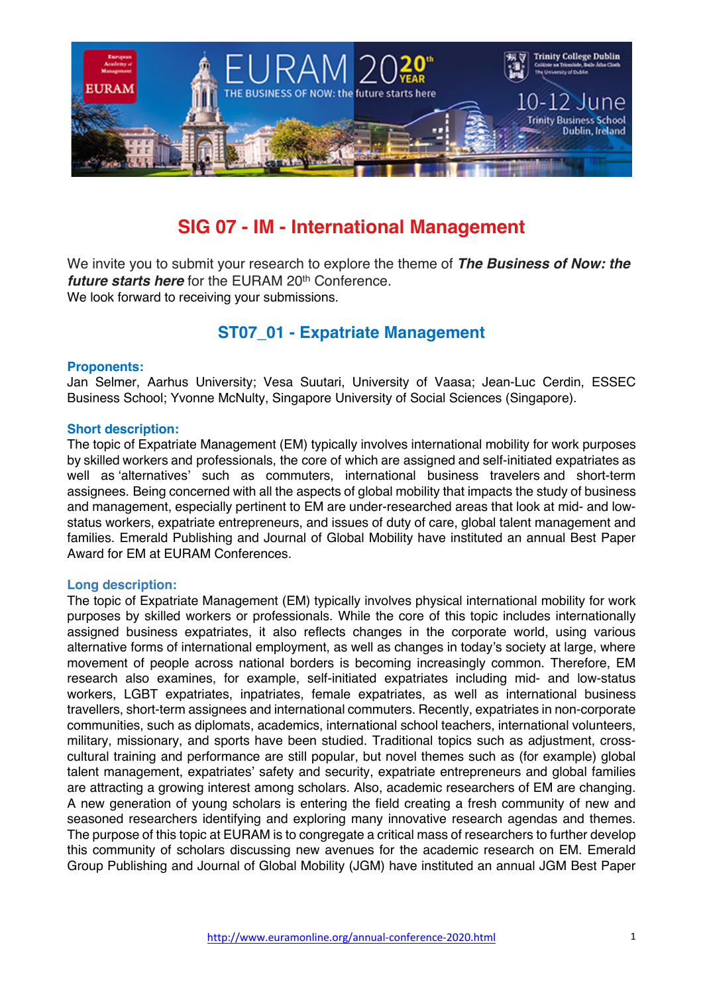

# **SIG 07 - IM - International Management**

We invite you to submit your research to explore the theme of *The Business of Now: the future starts here* for the EURAM 20<sup>th</sup> Conference. We look forward to receiving your submissions.

## **ST07\_01 - Expatriate Management**

#### **Proponents:**

Jan Selmer, Aarhus University; Vesa Suutari, University of Vaasa; Jean-Luc Cerdin, ESSEC Business School; Yvonne McNulty, Singapore University of Social Sciences (Singapore).

#### **Short description:**

The topic of Expatriate Management (EM) typically involves international mobility for work purposes by skilled workers and professionals, the core of which are assigned and self-initiated expatriates as well as 'alternatives' such as commuters, international business travelers and short-term assignees. Being concerned with all the aspects of global mobility that impacts the study of business and management, especially pertinent to EM are under-researched areas that look at mid- and lowstatus workers, expatriate entrepreneurs, and issues of duty of care, global talent management and families. Emerald Publishing and Journal of Global Mobility have instituted an annual Best Paper Award for EM at EURAM Conferences.

#### **Long description:**

The topic of Expatriate Management (EM) typically involves physical international mobility for work purposes by skilled workers or professionals. While the core of this topic includes internationally assigned business expatriates, it also reflects changes in the corporate world, using various alternative forms of international employment, as well as changes in today's society at large, where movement of people across national borders is becoming increasingly common. Therefore, EM research also examines, for example, self-initiated expatriates including mid- and low-status workers, LGBT expatriates, inpatriates, female expatriates, as well as international business travellers, short-term assignees and international commuters. Recently, expatriates in non-corporate communities, such as diplomats, academics, international school teachers, international volunteers, military, missionary, and sports have been studied. Traditional topics such as adjustment, crosscultural training and performance are still popular, but novel themes such as (for example) global talent management, expatriates' safety and security, expatriate entrepreneurs and global families are attracting a growing interest among scholars. Also, academic researchers of EM are changing. A new generation of young scholars is entering the field creating a fresh community of new and seasoned researchers identifying and exploring many innovative research agendas and themes. The purpose of this topic at EURAM is to congregate a critical mass of researchers to further develop this community of scholars discussing new avenues for the academic research on EM. Emerald Group Publishing and Journal of Global Mobility (JGM) have instituted an annual JGM Best Paper